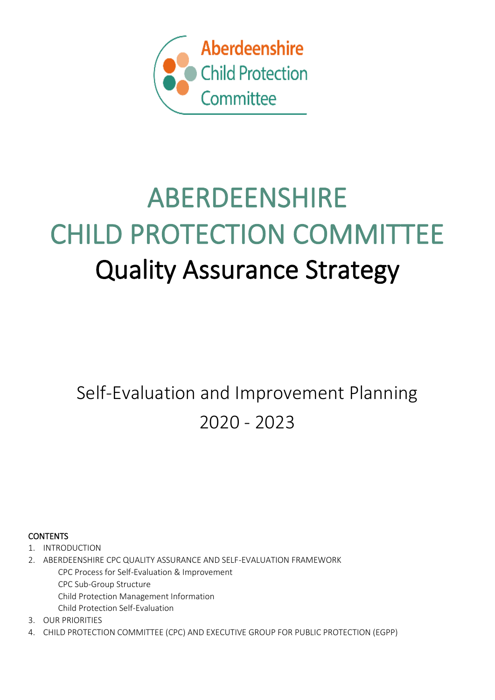

# ABERDEENSHIRE CHILD PROTECTION COMMITTEE Quality Assurance Strategy

Self-Evaluation and Improvement Planning 2020 - 2023

**CONTENTS** 

1. INTRODUCTION

2. ABERDEENSHIRE CPC QUALITY ASSURANCE AND SELF-EVALUATION FRAMEWORK CPC Process for Self-Evaluation & Improvement CPC Sub-Group Structure Child Protection Management Information

Child Protection Self-Evaluation

3. OUR PRIORITIES

4. CHILD PROTECTION COMMITTEE (CPC) AND EXECUTIVE GROUP FOR PUBLIC PROTECTION (EGPP)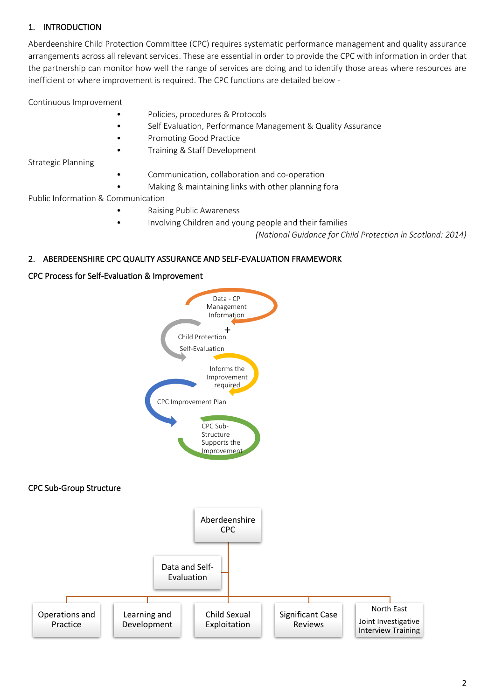# 1. INTRODUCTION

Aberdeenshire Child Protection Committee (CPC) requires systematic performance management and quality assurance arrangements across all relevant services. These are essential in order to provide the CPC with information in order that the partnership can monitor how well the range of services are doing and to identify those areas where resources are inefficient or where improvement is required. The CPC functions are detailed below -

Continuous Improvement

- Policies, procedures & Protocols
- Self Evaluation, Performance Management & Quality Assurance
- Promoting Good Practice
	- Training & Staff Development

Strategic Planning

- Communication, collaboration and co-operation
- Making & maintaining links with other planning fora

Public Information & Communication

- Raising Public Awareness
- Involving Children and young people and their families

*(National Guidance for Child Protection in Scotland: 2014)*

## 2. ABERDEENSHIRE CPC QUALITY ASSURANCE AND SELF-EVALUATION FRAMEWORK

#### CPC Process for Self-Evaluation & Improvement

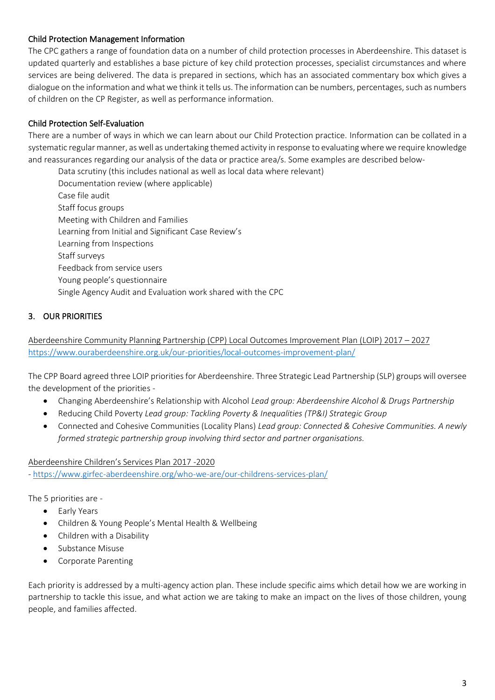## Child Protection Management Information

The CPC gathers a range of foundation data on a number of child protection processes in Aberdeenshire. This dataset is updated quarterly and establishes a base picture of key child protection processes, specialist circumstances and where services are being delivered. The data is prepared in sections, which has an associated commentary box which gives a dialogue on the information and what we think it tells us. The information can be numbers, percentages, such as numbers of children on the CP Register, as well as performance information.

#### Child Protection Self-Evaluation

There are a number of ways in which we can learn about our Child Protection practice. Information can be collated in a systematic regular manner, as well as undertaking themed activity in response to evaluating where we require knowledge and reassurances regarding our analysis of the data or practice area/s. Some examples are described below-

Data scrutiny (this includes national as well as local data where relevant) Documentation review (where applicable) Case file audit Staff focus groups Meeting with Children and Families Learning from Initial and Significant Case Review's Learning from Inspections Staff surveys Feedback from service users Young people's questionnaire Single Agency Audit and Evaluation work shared with the CPC

# 3. OUR PRIORITIES

Aberdeenshire Community Planning Partnership (CPP) Local Outcomes Improvement Plan (LOIP) 2017 – 2027 <https://www.ouraberdeenshire.org.uk/our-priorities/local-outcomes-improvement-plan/>

The CPP Board agreed three LOIP priorities for Aberdeenshire. Three Strategic Lead Partnership (SLP) groups will oversee the development of the priorities -

- Changing Aberdeenshire's Relationship with Alcohol *Lead group: Aberdeenshire Alcohol & Drugs Partnership*
- Reducing Child Poverty *Lead group: Tackling Poverty & Inequalities (TP&I) Strategic Group*
- Connected and Cohesive Communities (Locality Plans) *Lead group: Connected & Cohesive Communities. A newly formed strategic partnership group involving third sector and partner organisations.*

Aberdeenshire Children's Services Plan 2017 -2020

- <https://www.girfec-aberdeenshire.org/who-we-are/our-childrens-services-plan/>

The 5 priorities are -

- Early Years
- Children & Young People's Mental Health & Wellbeing
- Children with a Disability
- Substance Misuse
- Corporate Parenting

Each priority is addressed by a multi-agency action plan. These include specific aims which detail how we are working in partnership to tackle this issue, and what action we are taking to make an impact on the lives of those children, young people, and families affected.